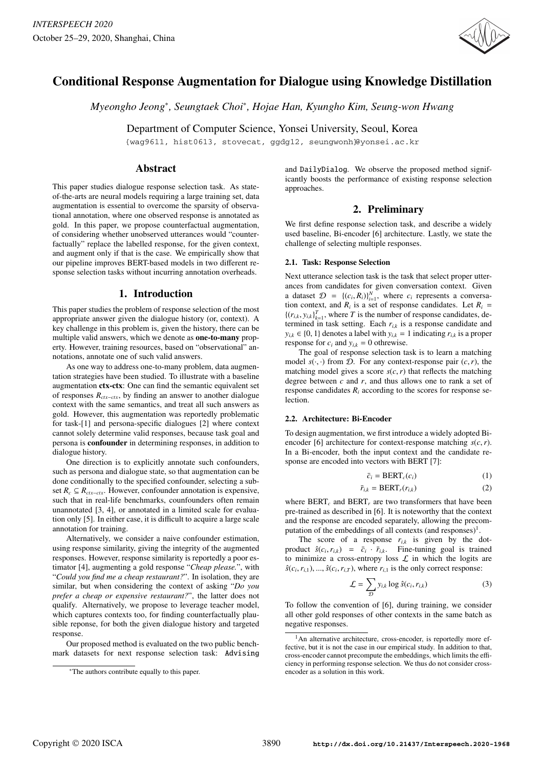

# Conditional Response Augmentation for Dialogue using Knowledge Distillation

*Myeongho Jeong*<sup>∗</sup> *, Seungtaek Choi*<sup>∗</sup> *, Hojae Han, Kyungho Kim, Seung-won Hwang*

Department of Computer Science, Yonsei University, Seoul, Korea

{wag9611, hist0613, stovecat, ggdg12, seungwonh}@yonsei.ac.kr

# Abstract

This paper studies dialogue response selection task. As stateof-the-arts are neural models requiring a large training set, data augmentation is essential to overcome the sparsity of observational annotation, where one observed response is annotated as gold. In this paper, we propose counterfactual augmentation, of considering whether unobserved utterances would "counterfactually" replace the labelled response, for the given context, and augment only if that is the case. We empirically show that our pipeline improves BERT-based models in two different response selection tasks without incurring annotation overheads.

# 1. Introduction

This paper studies the problem of response selection of the most appropriate answer given the dialogue history (or, context). A key challenge in this problem is, given the history, there can be multiple valid answers, which we denote as one-to-many property. However, training resources, based on "observational" annotations, annotate one of such valid answers.

As one way to address one-to-many problem, data augmentation strategies have been studied. To illustrate with a baseline augmentation ctx-ctx: One can find the semantic equivalent set of responses *Rctx*−*ctx*, by finding an answer to another dialogue context with the same semantics, and treat all such answers as gold. However, this augmentation was reportedly problematic for task-[1] and persona-specific dialogues [2] where context cannot solely determine valid responses, because task goal and persona is confounder in determining responses, in addition to dialogue history.

One direction is to explicitly annotate such confounders, such as persona and dialogue state, so that augmentation can be done conditionally to the specified confounder, selecting a subset  $R_c ⊆ R_{ctx-ctx}$ . However, confounder annotation is expensive, such that in real-life benchmarks, counfounders often remain unannotated [3, 4], or annotated in a limited scale for evaluation only [5]. In either case, it is difficult to acquire a large scale annotation for training.

Alternatively, we consider a naive confounder estimation, using response similarity, giving the integrity of the augmented responses. However, response similarity is reportedly a poor estimator [4], augmenting a gold response "*Cheap please.*", with "*Could you find me a cheap restaurant?*". In isolation, they are similar, but when considering the context of asking "*Do you prefer a cheap or expensive restaurant?*", the latter does not qualify. Alternatively, we propose to leverage teacher model, which captures contexts too, for finding counterfactually plausible reponse, for both the given dialogue history and targeted response.

Our proposed method is evaluated on the two public benchmark datasets for next response selection task: Advising and DailyDialog. We observe the proposed method significantly boosts the performance of existing response selection approaches.

# 2. Preliminary

We first define response selection task, and describe a widely used baseline, Bi-encoder [6] architecture. Lastly, we state the challenge of selecting multiple responses.

## 2.1. Task: Response Selection

Next utterance selection task is the task that select proper utterances from candidates for given conversation context. Given a dataset  $\mathcal{D} = \{(c_i, R_i)\}_{i=1}^N$ , where  $c_i$  represents a conversa-<br>tion context, and  $R_i$  is a set of response candidates. Let  $R_i =$ tion context, and  $R_i$  is a set of response candidates. Let  $R_i$  =  $\{(r_{i,k}, y_{i,k})_{k=1}^T, \text{ where } T \text{ is the number of response candidates, determined in task setting. Each r<sub>i</sub>, is a response candidate and$ termined in task setting. Each  $r_{i,k}$  is a response candidate and<br> $\sum_{i=1}^{\infty}$  (0, 1) denotes a label with  $\sum_{i=1}^{\infty}$  indicating  $r_{i,j}$  is a propor $y_{i,k} \in \{0, 1\}$  denotes a label with  $y_{i,k} = 1$  indicating  $r_{i,k}$  is a proper response for c, and  $y_{i,k} = 0$  othrewise response for  $c_i$  and  $y_{i,k} = 0$  othrewise.

The goal of response selection task is to learn a matching model  $s(\cdot, \cdot)$  from  $D$ . For any context-response pair  $(c, r)$ , the matching model gives a score  $s(c, r)$  that reflects the matching degree between *c* and *r*, and thus allows one to rank a set of response candidates  $R_i$  according to the scores for response selection.

## 2.2. Architecture: Bi-Encoder

To design augmentation, we first introduce a widely adopted Biencoder [6] architecture for context-response matching *<sup>s</sup>*(*c*,*r*). In a Bi-encoder, both the input context and the candidate response are encoded into vectors with BERT [7]:

$$
\bar{c}_i = BERT_c(c_i) \tag{1}
$$

$$
\bar{r}_{i,k} = \text{BERT}_r(r_{i,k})
$$
 (2)

where  $BERT<sub>c</sub>$  and  $BERT<sub>r</sub>$  are two transformers that have been pre-trained as described in [6]. It is noteworthy that the context and the response are encoded separately, allowing the precomputation of the embeddings of all contexts (and responses)<sup>1</sup>.

The score of a response  $r_{i,k}$  is given by the dotproduct  $\hat{s}(c_i, r_{i,k}) = \bar{c}_i \cdot \bar{r}_{i,k}$ . Fine-tuning goal is trained<br>to minimize a cross-entropy loss f in which the logits are to minimize a cross-entropy loss  $\mathcal L$  in which the logits are  $\hat{s}(c_i, r_{i,1}), \dots, \hat{s}(c_i, r_{i,T})$ , where  $r_{i,1}$  is the only correct response:

$$
\mathcal{L} = \sum_{\mathcal{D}} y_{i,k} \log \hat{s}(c_i, r_{i,k})
$$
 (3)

To follow the convention of [6], during training, we consider all other gold responses of other contexts in the same batch as negative responses.

<sup>∗</sup>The authors contribute equally to this paper.

 $<sup>1</sup>$ An alternative architecture, cross-encoder, is reportedly more ef-</sup> fective, but it is not the case in our empirical study. In addition to that, cross-encoder cannot precompute the embeddings, which limits the efficiency in performing response selection. We thus do not consider crossencoder as a solution in this work.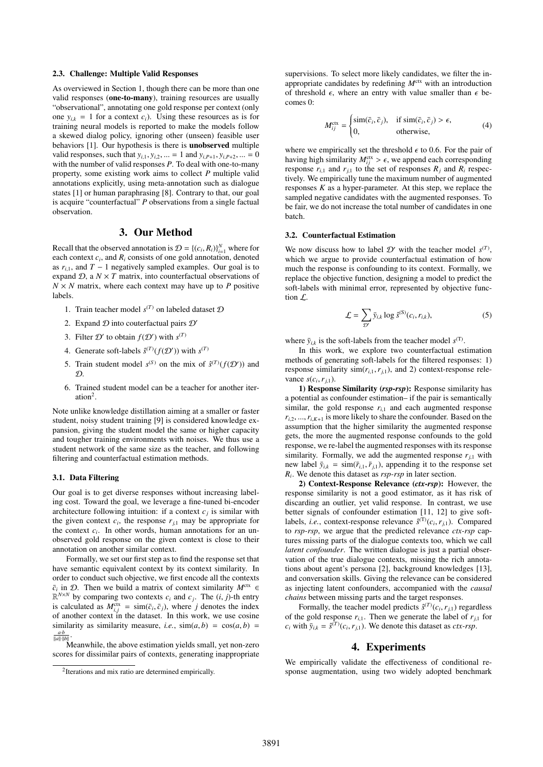## 2.3. Challenge: Multiple Valid Responses

As overviewed in Section 1, though there can be more than one valid responses (one-to-many), training resources are usually "observational", annotating one gold response per context (only one  $y_{i,k} = 1$  for a context  $c_i$ ). Using these resources as is for training neural models is reported to make the models follow a skewed dialog policy, ignoring other (unseen) feasible user behaviors [1]. Our hypothesis is there is unobserved multiple valid responses, such that  $y_{i,1}, y_{i,2}, ... = 1$  and  $y_{i,P+1}, y_{i,P+2}, ... = 0$ with the number of valid responses *P*. To deal with one-to-many property, some existing work aims to collect *P* multiple valid annotations explicitly, using meta-annotation such as dialogue states [1] or human paraphrasing [8]. Contrary to that, our goal is acquire "counterfactual" *P* observations from a single factual observation.

# 3. Our Method

Recall that the observed annotation is  $\mathcal{D} = \{(c_i, R_i)\}_{i=1}^N$  where for each context  $c_i$ , and  $R_i$  consists of one gold annotation, denoted as  $r_{i,1}$ , and  $T - 1$  negatively sampled examples. Our goal is to expand  $D$ , a  $N \times T$  matrix, into counterfactual observations of  $N \times N$  matrix, where each context may have up to *P* positive labels.

- 1. Train teacher model  $s^{(T)}$  on labeled dataset  $D$
- 2. Expand  $D$  into couterfactual pairs  $D'$
- 3. Filter  $D'$  to obtain  $f(D')$  with  $s^{(T)}$
- 4. Generate soft-labels  $\hat{s}^{(T)}(f(\mathcal{D}'))$  with  $s^{(T)}$
- 5. Train student model  $s^{(S)}$  on the mix of  $\hat{s}^{(T)}(f(\mathcal{D}'))$  and  $\mathcal{D}$ .
- 6. Trained student model can be a teacher for another iteration<sup>2</sup>.

Note unlike knowledge distillation aiming at a smaller or faster student, noisy student training [9] is considered knowledge expansion, giving the student model the same or higher capacity and tougher training environments with noises. We thus use a student network of the same size as the teacher, and following filtering and counterfactual estimation methods.

## 3.1. Data Filtering

Our goal is to get diverse responses without increasing labeling cost. Toward the goal, we leverage a fine-tuned bi-encoder architecture following intuition: if a context  $c_j$  is similar with the given context  $c_i$ , the response  $r_{j,1}$  may be appropriate for  $\epsilon$  and  $r_{j,1}$  may be appropriate for  $\epsilon$  and  $r_{j,1}$ the context  $c_i$ . In other words, human annotations for an unobserved gold response on the given context is close to their annotation on another similar context.

Formally, we set our first step as to find the response set that have semantic equivalent context by its context similarity. In order to conduct such objective, we first encode all the contexts  $\bar{c}_i$  in D. Then we build a matrix of context similarity  $M^{\text{ctx}}$  $\mathbb{R}^{N \times N}$  by comparing two contexts  $c_i$  and  $c_j$ . The  $(i, j)$ -th entry<br>is calculated as  $M^{\text{ctx}} = \text{sim}(\bar{c}, \bar{c})$ , where *i* denotes the index is calculated as  $M_{i,j}^{\text{ctx}} = \text{sim}(\bar{c}_i, \bar{c}_j)$ , where *j* denotes the index<br>of another context in the dataset. In this work, we use cosine of another context in the dataset. In this work, we use cosine similarity as similarity measure, *i.e.*,  $\sin(a, b) = \cos(a, b)$  $\frac{a \cdot b}{\|a\| \cdot \|b\|}$ .

Meanwhile, the above estimation yields small, yet non-zero scores for dissimilar pairs of contexts, generating inappropriate supervisions. To select more likely candidates, we filter the inappropriate candidates by redefining  $M^{\text{ctx}}$  with an introduction of threshold  $\epsilon$ , where an entry with value smaller than  $\epsilon$  becomes 0:

$$
M_{ij}^{\text{ctx}} = \begin{cases} \text{sim}(\bar{c}_i, \bar{c}_j), & \text{if } \text{sim}(\bar{c}_i, \bar{c}_j) > \epsilon, \\ 0, & \text{otherwise,} \end{cases}
$$
(4)

where we empirically set the threshold  $\epsilon$  to 0.6. For the pair of having high similarity  $M_{ij}^{\text{ctx}} > \epsilon$ , we append each corresponding<br>response  $r_{ij}$  and  $r_{ij}$  to the set of responses  $R_{ij}$  and  $R_{ij}$  respecresponse  $r_{i,1}$  and  $r_{j,1}$  to the set of responses  $R_j$  and  $R_i$  respectively. We empirically tune the maximum number of augmented responses  $K$  as a hyper-parameter. At this step, we replace the sampled negative candidates with the augmented responses. To be fair, we do not increase the total number of candidates in one batch.

## 3.2. Counterfactual Estimation

We now discuss how to label  $\mathcal{D}'$  with the teacher model  $s^{(T)}$ , which we argue to provide counterfactual estimation of how much the response is confounding to its context. Formally, we replace the objective function, designing a model to predict the soft-labels with minimal error, represented by objective function  $\mathcal{L}$ .

$$
\mathcal{L} = \sum_{\mathcal{D}'} \bar{y}_{i,k} \log \hat{s}^{(S)}(c_i, r_{i,k}), \tag{5}
$$

where  $\bar{y}_{i,k}$  is the soft-labels from the teacher model  $s^{(T)}$ .

In this work, we explore two counterfactual estimation methods of generating soft-labels for the filtered responses: 1) response similarity  $\text{sim}(r_{i,1}, r_{j,1})$ , and 2) context-response relevance  $s(c_i, r_{j,1})$ .<br> **1)** Respons

1) Response Similarity (*rsp-rsp*): Response similarity has a potential as confounder estimation– if the pair is semantically similar, the gold response  $r_{i,1}$  and each augmented response  $r_{i,2}, ..., r_{i,K+1}$  is more likely to share the confounder. Based on the assumption that the higher similarity the augmented response gets, the more the augmented response confounds to the gold response, we re-label the augmented responses with its response similarity. Formally, we add the augmented response  $r_{i1}$  with new label  $\bar{y}_{i,k} = \sin(\bar{r}_{i,1}, \bar{r}_{i,1})$ , appending it to the response set *Ri* . We denote this dataset as *rsp-rsp* in later section.

2) Context-Response Relevance (*ctx-rsp*): However, the response similarity is not a good estimator, as it has risk of discarding an outlier, yet valid response. In contrast, we use better signals of confounder estimation [11, 12] to give softlabels, *i.e.*, context-response relevance  $\hat{s}^{(T)}(c_i, r_{j,1})$ . Compared to rsp-rsp, we aroue that the predicted relevance *ctr-rsp* capto *rsp-rsp*, we argue that the predicted relevance *ctx-rsp* captures missing parts of the dialogue contexts too, which we call *latent confounder*. The written dialogue is just a partial observation of the true dialogue contexts, missing the rich annotations about agent's persona [2], background knowledges [13], and conversation skills. Giving the relevance can be considered as injecting latent confounders, accompanied with the *causal chains* between missing parts and the target responses.

Formally, the teacher model predicts  $\hat{s}^{(T)}(c_i, r_{j,1})$  regardless<br>the sold response  $r_{i,j}$ . Then we generate the label of  $r_{i,j}$  for of the gold response  $r_{i,1}$ . Then we generate the label of  $r_{i,1}$  for  $c_i$  with  $\bar{y}_{i,k} = \hat{s}^{(T)}(c_i, r_{j,1})$ . We denote this dataset as *ctx-rsp*.

# 4. Experiments

We empirically validate the effectiveness of conditional response augmentation, using two widely adopted benchmark

<sup>&</sup>lt;sup>2</sup>Iterations and mix ratio are determined empirically.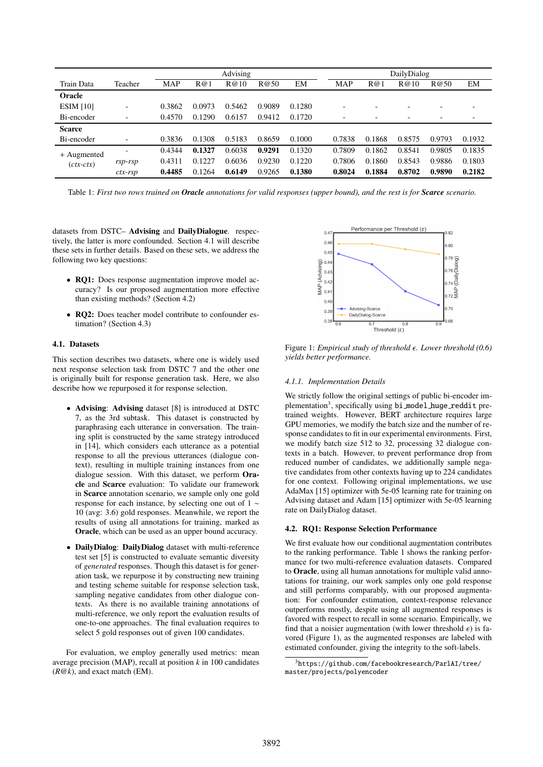|                            |                          | Advising   |        |        |        |        | DailyDialog              |        |                          |                          |                          |  |
|----------------------------|--------------------------|------------|--------|--------|--------|--------|--------------------------|--------|--------------------------|--------------------------|--------------------------|--|
| Train Data                 | Teacher                  | <b>MAP</b> | R@1    | R@10   | R@50   | EM     | <b>MAP</b>               | R@1    | R@10                     | R@50                     | EM                       |  |
| Oracle                     |                          |            |        |        |        |        |                          |        |                          |                          |                          |  |
| ESIM [10]                  | ٠                        | 0.3862     | 0.0973 | 0.5462 | 0.9089 | 0.1280 | $\overline{\phantom{0}}$ |        | $\overline{\phantom{0}}$ | -                        | ۰                        |  |
| Bi-encoder                 | $\overline{\phantom{a}}$ | 0.4570     | 0.1290 | 0.6157 | 0.9412 | 0.1720 | ۰                        |        | $\overline{\phantom{a}}$ | $\overline{\phantom{0}}$ | $\overline{\phantom{a}}$ |  |
| <b>Scarce</b>              |                          |            |        |        |        |        |                          |        |                          |                          |                          |  |
| Bi-encoder                 | ٠                        | 0.3836     | 0.1308 | 0.5183 | 0.8659 | 0.1000 | 0.7838                   | 0.1868 | 0.8575                   | 0.9793                   | 0.1932                   |  |
| + Augmented<br>$(ctx-ctx)$ | ۰                        | 0.4344     | 0.1327 | 0.6038 | 0.9291 | 0.1320 | 0.7809                   | 0.1862 | 0.8541                   | 0.9805                   | 0.1835                   |  |
|                            | $rsp$ - $rsp$            | 0.4311     | 0.1227 | 0.6036 | 0.9230 | 0.1220 | 0.7806                   | 0.1860 | 0.8543                   | 0.9886                   | 0.1803                   |  |
|                            | $ctx-rsp$                | 0.4485     | 0.1264 | 0.6149 | 0.9265 | 0.1380 | 0.8024                   | 0.1884 | 0.8702                   | 0.9890                   | 0.2182                   |  |

Table 1: *First two rows trained on Oracle annotations for valid responses (upper bound), and the rest is for Scarce scenario.*

datasets from DSTC– Advising and DailyDialogue. respectively, the latter is more confounded. Section 4.1 will describe these sets in further details. Based on these sets, we address the following two key questions:

- **RQ1:** Does response augmentation improve model accuracy? Is our proposed augmentation more effective than existing methods? (Section 4.2)
- RQ2: Does teacher model contribute to confounder estimation? (Section 4.3)

## 4.1. Datasets

This section describes two datasets, where one is widely used next response selection task from DSTC 7 and the other one is originally built for response generation task. Here, we also describe how we repurposed it for response selection.

- Advising: Advising dataset [8] is introduced at DSTC 7, as the 3rd subtask. This dataset is constructed by paraphrasing each utterance in conversation. The training split is constructed by the same strategy introduced in [14], which considers each utterance as a potential response to all the previous utterances (dialogue context), resulting in multiple training instances from one dialogue session. With this dataset, we perform Oracle and Scarce evaluation: To validate our framework in Scarce annotation scenario, we sample only one gold response for each instance, by selecting one out of 1 ∼ 10 (avg: 3.6) gold responses. Meanwhile, we report the results of using all annotations for training, marked as Oracle, which can be used as an upper bound accuracy.
- DailyDialog: DailyDialog dataset with multi-reference test set [5] is constructed to evaluate semantic diversity of *generated* responses. Though this dataset is for generation task, we repurpose it by constructing new training and testing scheme suitable for response selection task, sampling negative candidates from other dialogue contexts. As there is no available training annotations of multi-reference, we only report the evaluation results of one-to-one approaches. The final evaluation requires to select 5 gold responses out of given 100 candidates.

For evaluation, we employ generally used metrics: mean average precision (MAP), recall at position  $k$  in 100 candidates (*R*@*k*), and exact match (EM).



Figure 1: *Empirical study of threshold . Lower threshold (0.6) yields better performance.*

#### *4.1.1. Implementation Details*

We strictly follow the original settings of public bi-encoder implementation<sup>3</sup>, specifically using bi\_model\_huge\_reddit pretrained weights. However, BERT architecture requires large GPU memories, we modify the batch size and the number of response candidates to fit in our experimental environments. First, we modify batch size 512 to 32, processing 32 dialogue contexts in a batch. However, to prevent performance drop from reduced number of candidates, we additionally sample negative candidates from other contexts having up to 224 candidates for one context. Following original implementations, we use AdaMax [15] optimizer with 5e-05 learning rate for training on Advising dataset and Adam [15] optimizer with 5e-05 learning rate on DailyDialog dataset.

#### 4.2. RQ1: Response Selection Performance

We first evaluate how our conditional augmentation contributes to the ranking performance. Table 1 shows the ranking performance for two multi-reference evaluation datasets. Compared to Oracle, using all human annotations for multiple valid annotations for training, our work samples only one gold response and still performs comparably, with our proposed augmentation: For confounder estimation, context-response relevance outperforms mostly, despite using all augmented responses is favored with respect to recall in some scenario. Empirically, we find that a noisier augmentation (with lower threshold  $\epsilon$ ) is favored (Figure 1), as the augmented responses are labeled with estimated confounder, giving the integrity to the soft-labels.

 $^3$ https://github.com/facebookresearch/ParlAI/tree/ master/projects/polyencoder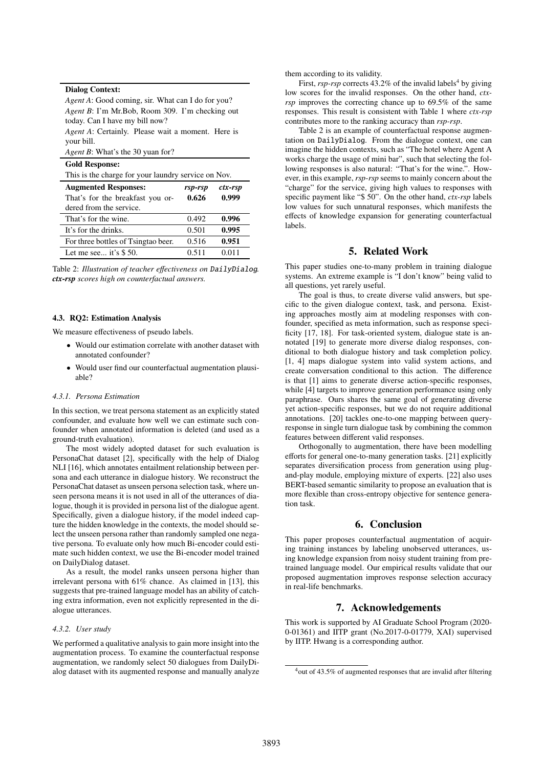| <b>Dialog Context:</b>                                                                    |         |         |  |  |  |  |
|-------------------------------------------------------------------------------------------|---------|---------|--|--|--|--|
| <i>Agent A:</i> Good coming, sir. What can I do for you?                                  |         |         |  |  |  |  |
| <i>Agent B</i> : I'm Mr.Bob, Room 309. I'm checking out<br>today. Can I have my bill now? |         |         |  |  |  |  |
| <i>Agent A:</i> Certainly. Please wait a moment. Here is<br>your bill.                    |         |         |  |  |  |  |
| <i>Agent B</i> : What's the 30 yuan for?                                                  |         |         |  |  |  |  |
| <b>Gold Response:</b>                                                                     |         |         |  |  |  |  |
| This is the charge for your laundry service on Nov.                                       |         |         |  |  |  |  |
| <b>Augmented Responses:</b>                                                               | rsp-rsp | ctx-rsp |  |  |  |  |
| That's for the breakfast you or-                                                          | 0.626   | 0.999   |  |  |  |  |
| dered from the service.                                                                   |         |         |  |  |  |  |
| That's for the wine.                                                                      | 0.492   | 0.996   |  |  |  |  |
| It's for the drinks.                                                                      | 0.501   | 0.995   |  |  |  |  |
| For three bottles of Tsingtao beer.                                                       | 0.516   | 0.951   |  |  |  |  |
| Let me see it's $$50$ .                                                                   | 0.511   | 0.011   |  |  |  |  |

Table 2: *Illustration of teacher e*ff*ectiveness on* DailyDialog*. ctx-rsp scores high on counterfactual answers.*

#### 4.3. RQ2: Estimation Analysis

We measure effectiveness of pseudo labels.

- Would our estimation correlate with another dataset with annotated confounder?
- Would user find our counterfactual augmentation plausiable?

## *4.3.1. Persona Estimation*

In this section, we treat persona statement as an explicitly stated confounder, and evaluate how well we can estimate such confounder when annotated information is deleted (and used as a ground-truth evaluation).

The most widely adopted dataset for such evaluation is PersonaChat dataset [2], specifically with the help of Dialog NLI [16], which annotates entailment relationship between persona and each utterance in dialogue history. We reconstruct the PersonaChat dataset as unseen persona selection task, where unseen persona means it is not used in all of the utterances of dialogue, though it is provided in persona list of the dialogue agent. Specifically, given a dialogue history, if the model indeed capture the hidden knowledge in the contexts, the model should select the unseen persona rather than randomly sampled one negative persona. To evaluate only how much Bi-encoder could estimate such hidden context, we use the Bi-encoder model trained on DailyDialog dataset.

As a result, the model ranks unseen persona higher than irrelevant persona with 61% chance. As claimed in [13], this suggests that pre-trained language model has an ability of catching extra information, even not explicitly represented in the dialogue utterances.

#### *4.3.2. User study*

We performed a qualitative analysis to gain more insight into the augmentation process. To examine the counterfactual response augmentation, we randomly select 50 dialogues from DailyDialog dataset with its augmented response and manually analyze them according to its validity.

First,  $rsp-rsp$  corrects  $43.2\%$  of the invalid labels<sup>4</sup> by giving low scores for the invalid responses. On the other hand, *ctxrsp* improves the correcting chance up to 69.5% of the same responses. This result is consistent with Table 1 where *ctx-rsp* contributes more to the ranking accuracy than *rsp-rsp*.

Table 2 is an example of counterfactual response augmentation on DailyDialog. From the dialogue context, one can imagine the hidden contexts, such as "The hotel where Agent A works charge the usage of mini bar", such that selecting the following responses is also natural: "That's for the wine.". However, in this example, *rsp-rsp* seems to mainly concern about the "charge" for the service, giving high values to responses with specific payment like "\$ 50". On the other hand, *ctx-rsp* labels low values for such unnatural responses, which manifests the effects of knowledge expansion for generating counterfactual labels.

# 5. Related Work

This paper studies one-to-many problem in training dialogue systems. An extreme example is "I don't know" being valid to all questions, yet rarely useful.

The goal is thus, to create diverse valid answers, but specific to the given dialogue context, task, and persona. Existing approaches mostly aim at modeling responses with confounder, specified as meta information, such as response specificity [17, 18]. For task-oriented system, dialogue state is annotated [19] to generate more diverse dialog responses, conditional to both dialogue history and task completion policy. [1, 4] maps dialogue system into valid system actions, and create conversation conditional to this action. The difference is that [1] aims to generate diverse action-specific responses, while [4] targets to improve generation performance using only paraphrase. Ours shares the same goal of generating diverse yet action-specific responses, but we do not require additional annotations. [20] tackles one-to-one mapping between queryresponse in single turn dialogue task by combining the common features between different valid responses.

Orthogonally to augmentation, there have been modelling efforts for general one-to-many generation tasks. [21] explicitly separates diversification process from generation using plugand-play module, employing mixture of experts. [22] also uses BERT-based semantic similarity to propose an evaluation that is more flexible than cross-entropy objective for sentence generation task.

# 6. Conclusion

This paper proposes counterfactual augmentation of acquiring training instances by labeling unobserved utterances, using knowledge expansion from noisy student training from pretrained language model. Our empirical results validate that our proposed augmentation improves response selection accuracy in real-life benchmarks.

## 7. Acknowledgements

This work is supported by AI Graduate School Program (2020- 0-01361) and IITP grant (No.2017-0-01779, XAI) supervised by IITP. Hwang is a corresponding author.

<sup>4</sup>out of 43.5% of augmented responses that are invalid after filtering